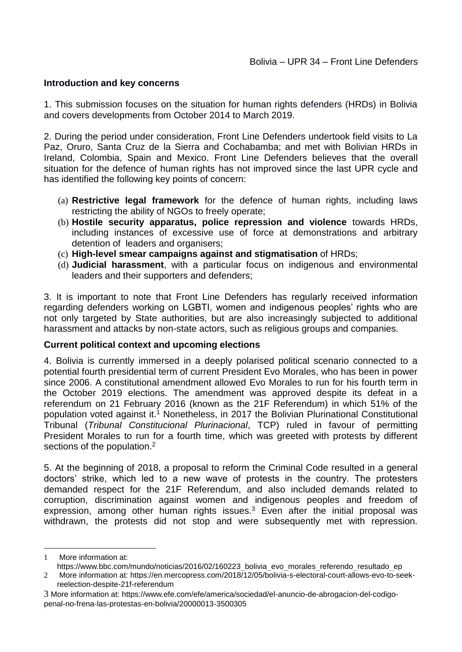### **Introduction and key concerns**

1. This submission focuses on the situation for human rights defenders (HRDs) in Bolivia and covers developments from October 2014 to March 2019.

2. During the period under consideration, Front Line Defenders undertook field visits to La Paz, Oruro, Santa Cruz de la Sierra and Cochabamba; and met with Bolivian HRDs in Ireland, Colombia, Spain and Mexico. Front Line Defenders believes that the overall situation for the defence of human rights has not improved since the last UPR cycle and has identified the following key points of concern:

- (a) **Restrictive legal framework** for the defence of human rights, including laws restricting the ability of NGOs to freely operate;
- (b) **Hostile security apparatus, police repression and violence** towards HRDs, including instances of excessive use of force at demonstrations and arbitrary detention of leaders and organisers;
- (c) **High-level smear campaigns against and stigmatisation** of HRDs;
- (d) **Judicial harassment**, with a particular focus on indigenous and environmental leaders and their supporters and defenders;

3. It is important to note that Front Line Defenders has regularly received information regarding defenders working on LGBTI, women and indigenous peoples' rights who are not only targeted by State authorities, but are also increasingly subjected to additional harassment and attacks by non-state actors, such as religious groups and companies.

### **Current political context and upcoming elections**

4. Bolivia is currently immersed in a deeply polarised political scenario connected to a potential fourth presidential term of current President Evo Morales, who has been in power since 2006. A constitutional amendment allowed Evo Morales to run for his fourth term in the October 2019 elections. The amendment was approved despite its defeat in a referendum on 21 February 2016 (known as the 21F Referendum) in which 51% of the population voted against it.<sup>1</sup> Nonetheless, in 2017 the Bolivian Plurinational Constitutional Tribunal (*Tribunal Constitucional Plurinacional*, TCP) ruled in favour of permitting President Morales to run for a fourth time, which was greeted with protests by different sections of the population.<sup>2</sup>

5. At the beginning of 2018, a proposal to reform the Criminal Code resulted in a general doctors' strike, which led to a new wave of protests in the country. The protesters demanded respect for the 21F Referendum, and also included demands related to corruption, discrimination against women and indigenous peoples and freedom of expression, among other human rights issues. $3$  Even after the initial proposal was withdrawn, the protests did not stop and were subsequently met with repression.

<sup>1</sup> 1 More information at:

https://www.bbc.com/mundo/noticias/2016/02/160223 bolivia\_evo\_morales\_referendo\_resultado\_ep

<sup>2</sup> More information at: [https://en.mercopress.com/2018/12/05/bolivia-s-electoral-court-allows-evo-to-seek](https://en.mercopress.com/2018/12/05/bolivia-s-electoral-court-allows-evo-to-seek-reelection-despite-21f-referendum)[reelection-despite-21f-referendum](https://en.mercopress.com/2018/12/05/bolivia-s-electoral-court-allows-evo-to-seek-reelection-despite-21f-referendum)

<sup>3</sup> More information at: [https://www.efe.com/efe/america/sociedad/el-anuncio-de-abrogacion-del-codigo](https://www.efe.com/efe/america/sociedad/el-anuncio-de-abrogacion-del-codigo-penal-no-frena-las-protestas-en-bolivia/20000013-3500305)[penal-no-frena-las-protestas-en-bolivia/20000013-3500305](https://www.efe.com/efe/america/sociedad/el-anuncio-de-abrogacion-del-codigo-penal-no-frena-las-protestas-en-bolivia/20000013-3500305)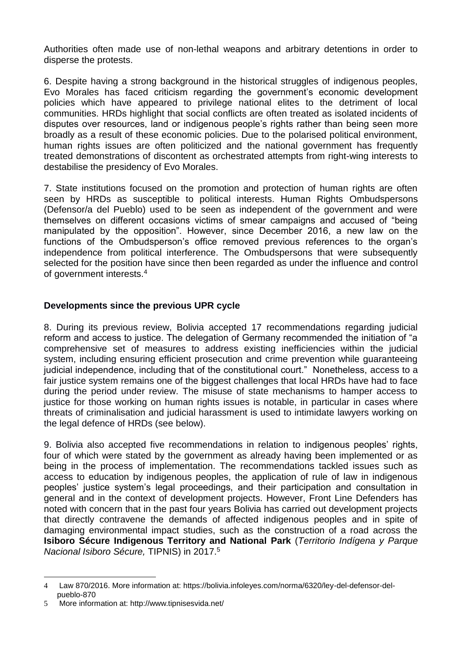Authorities often made use of non-lethal weapons and arbitrary detentions in order to disperse the protests.

6. Despite having a strong background in the historical struggles of indigenous peoples, Evo Morales has faced criticism regarding the government's economic development policies which have appeared to privilege national elites to the detriment of local communities. HRDs highlight that social conflicts are often treated as isolated incidents of disputes over resources, land or indigenous people's rights rather than being seen more broadly as a result of these economic policies. Due to the polarised political environment, human rights issues are often politicized and the national government has frequently treated demonstrations of discontent as orchestrated attempts from right-wing interests to destabilise the presidency of Evo Morales.

7. State institutions focused on the promotion and protection of human rights are often seen by HRDs as susceptible to political interests. Human Rights Ombudspersons (Defensor/a del Pueblo) used to be seen as independent of the government and were themselves on different occasions victims of smear campaigns and accused of "being manipulated by the opposition". However, since December 2016, a new law on the functions of the Ombudsperson's office removed previous references to the organ's independence from political interference. The Ombudspersons that were subsequently selected for the position have since then been regarded as under the influence and control of government interests.<sup>4</sup>

# **Developments since the previous UPR cycle**

8. During its previous review, Bolivia accepted 17 recommendations regarding judicial reform and access to justice. The delegation of Germany recommended the initiation of "a comprehensive set of measures to address existing inefficiencies within the judicial system, including ensuring efficient prosecution and crime prevention while guaranteeing judicial independence, including that of the constitutional court." Nonetheless, access to a fair justice system remains one of the biggest challenges that local HRDs have had to face during the period under review. The misuse of state mechanisms to hamper access to justice for those working on human rights issues is notable, in particular in cases where threats of criminalisation and judicial harassment is used to intimidate lawyers working on the legal defence of HRDs (see below).

9. Bolivia also accepted five recommendations in relation to indigenous peoples' rights, four of which were stated by the government as already having been implemented or as being in the process of implementation. The recommendations tackled issues such as access to education by indigenous peoples, the application of rule of law in indigenous peoples' justice system's legal proceedings, and their participation and consultation in general and in the context of development projects. However, Front Line Defenders has noted with concern that in the past four years Bolivia has carried out development projects that directly contravene the demands of affected indigenous peoples and in spite of damaging environmental impact studies, such as the construction of a road across th[e](http://www.tipnisesvida.net/) **[Isiboro Sécure Indigenous Territory and National Park](http://www.tipnisesvida.net/)** (*Territorio Indígena y Parque Nacional Isiboro Sécure,* TIPNIS) in 2017.<sup>5</sup>

<sup>&</sup>lt;u>.</u> 4 Law 870/2016. More information at: https://bolivia.infoleyes.com/norma/6320/ley-del-defensor-delpueblo-870

<sup>5</sup> More information at: http://www.tipnisesvida.net/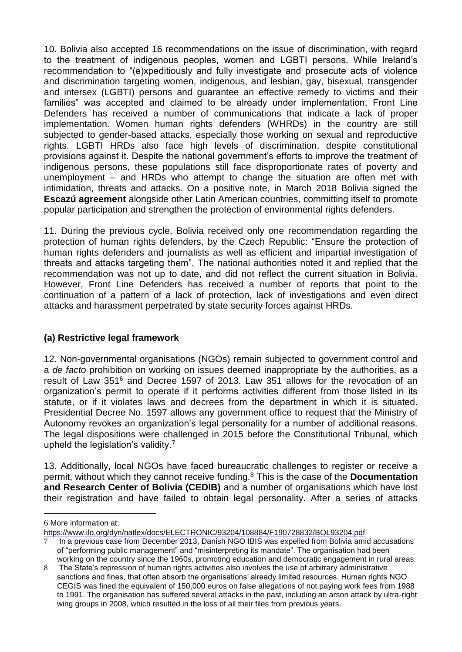10. Bolivia also accepted 16 recommendations on the issue of discrimination, with regard to the treatment of indigenous peoples, women and LGBTI persons. While Ireland's recommendation to "(e)xpeditiously and fully investigate and prosecute acts of violence and discrimination targeting women, indigenous, and lesbian, gay, bisexual, transgender and intersex (LGBTI) persons and guarantee an effective remedy to victims and their families" was accepted and claimed to be already under implementation, Front Line Defenders has received a number of communications that indicate a lack of proper implementation. Women human rights defenders (WHRDs) in the country are still subjected to gender-based attacks, especially those working on sexual and reproductive rights. LGBTI HRDs also face high levels of discrimination, despite constitutional provisions against it. Despite the national government's efforts to improve the treatment of indigenous persons, these populations still face disproportionate rates of poverty and unemployment – and HRDs who attempt to change the situation are often met with intimidation, threats and attacks. On a positive note, in March 2018 Bolivia signed the **Escazú agreement** alongside other Latin American countries, committing itself to promote popular participation and strengthen the protection of environmental rights defenders.

11. During the previous cycle, Bolivia received only one recommendation regarding the protection of human rights defenders, by the Czech Republic: "Ensure the protection of human rights defenders and journalists as well as efficient and impartial investigation of threats and attacks targeting them". The national authorities noted it and replied that the recommendation was not up to date, and did not reflect the current situation in Bolivia. However, Front Line Defenders has received a number of reports that point to the continuation of a pattern of a lack of protection, lack of investigations and even direct attacks and harassment perpetrated by state security forces against HRDs.

# **(a) Restrictive legal framework**

12. Non-governmental organisations (NGOs) remain subjected to government control and a *de facto* prohibition on working on issues deemed inappropriate by the authorities, as a result of Law 351<sup>6</sup> and Decree 1597 of 2013. Law 351 allows for the revocation of an organization's permit to operate if it performs activities different from those listed in its statute, or if it violates laws and decrees from the department in which it is situated. Presidential Decree No. 1597 allows any government office to request that the Ministry of Autonomy revokes an organization's legal personality for a number of additional reasons. The legal dispositions were challenged in 2015 before the Constitutional Tribunal, which upheld the legislation's validity.<sup>7</sup>

13. Additionally, local NGOs have faced bureaucratic challenges to register or receive a permit, without which they cannot receive funding.<sup>8</sup> This is the case of the **Documentation and Research Center of Bolivia (CEDIB)** and a number of organisations which have lost their registration and have failed to obtain legal personality. After a series of attacks

1

<sup>6</sup> More information at:

<https://www.ilo.org/dyn/natlex/docs/ELECTRONIC/93204/108884/F190728832/BOL93204.pdf>

<sup>7</sup> In a previous case from December 2013, Danish NGO IBIS was expelled from Bolivia amid accusations of "performing public management" and "misinterpreting its mandate". The organisation had been working on the country since the 1960s, promoting education and democratic engagement in rural areas.

<sup>8</sup> The State's repression of human rights activities also involves the use of arbitrary administrative sanctions and fines, that often absorb the organisations' already limited resources. Human rights NGO CEGIS was fined the equivalent of 150,000 euros on false allegations of not paying work fees from 1988 to 1991. The organisation has suffered several attacks in the past, including an arson attack by ultra-right wing groups in 2008, which resulted in the loss of all their files from previous years.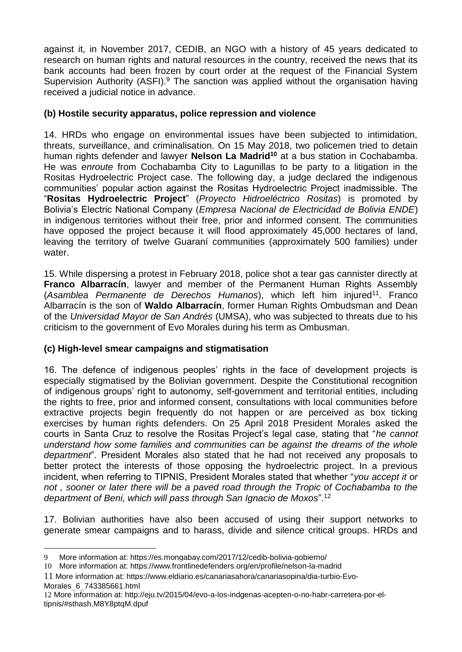against it, in November 2017, CEDIB, an NGO with a history of 45 years dedicated to research on human rights and natural resources in the country, received the news that its bank accounts had been frozen by court order at the request of the Financial System Supervision Authority (ASFI).<sup>9</sup> The sanction was applied without the organisation having received a judicial notice in advance.

## **(b) Hostile security apparatus, police repression and violence**

14. HRDs who engage on environmental issues have been subjected to intimidation, threats, surveillance, and criminalisation. On 15 May 2018, two policemen tried to detain human rights defender and lawyer **Nelson La Madrid<sup>10</sup>** at a bus station in Cochabamba. He was *enroute* from Cochabamba City to Lagunillas to be party to a litigation in the Rositas Hydroelectric Project case. The following day, a judge declared the indigenous communities' popular action against the Rositas Hydroelectric Project inadmissible. The "**Rositas Hydroelectric Project**" (*Proyecto Hidroeléctrico Rositas*) is promoted by Bolivia's Electric National Company (*Empresa Nacional de Electricidad de Bolivia ENDE*) in indigenous territories without their free, prior and informed consent. The communities have opposed the project because it will flood approximately 45,000 hectares of land, leaving the territory of twelve Guaraní communities (approximately 500 families) under water.

15. While dispersing a protest in February 2018, police shot a tear gas cannister directly at **Franco Albarracín**, lawyer and member of the Permanent Human Rights Assembly (Asamblea Permanente de Derechos Humanos), which left him injured<sup>11</sup>. Franco Albarracín is the son of **Waldo Albarracín**, former Human Rights Ombudsman and Dean of the *Universidad Mayor de San Andrés* (UMSA), who was subjected to threats due to his criticism to the government of Evo Morales during his term as Ombusman.

# **(c) High-level smear campaigns and stigmatisation**

16. The defence of indigenous peoples' rights in the face of development projects is especially stigmatised by the Bolivian government. Despite the Constitutional recognition of indigenous groups' right to autonomy, self-government and territorial entities, including the rights to free, prior and informed consent, consultations with local communities before extractive projects begin frequently do not happen or are perceived as box ticking exercises by human rights defenders. On 25 April 2018 President Morales asked the courts in Santa Cruz to resolve the Rositas Project's legal case, stating that "*he cannot understand how some families and communities can be against the dreams of the whole department*". President Morales also stated that he had not received any proposals to better protect the interests of those opposing the hydroelectric project. In a previous incident, when referring to TIPNIS, President Morales stated that whether "*you accept it or not , sooner or later there will be a paved road through the Tropic of Cochabamba to the department of Beni, which will pass through San Ignacio de Moxos*".<sup>12</sup>

17. Bolivian authorities have also been accused of using their support networks to generate smear campaigns and to harass, divide and silence critical groups. HRDs and

<sup>1</sup> 9 More information at:<https://es.mongabay.com/2017/12/cedib-bolivia-gobierno/>

<sup>10</sup> More information at:<https://www.frontlinedefenders.org/en/profile/nelson-la-madrid>

<sup>11</sup> More information at: [https://www.eldiario.es/canariasahora/canariasopina/dia-turbio-Evo-](https://www.eldiario.es/canariasahora/canariasopina/dia-turbio-Evo-Morales_6_743385661.html)[Morales\\_6\\_743385661.html](https://www.eldiario.es/canariasahora/canariasopina/dia-turbio-Evo-Morales_6_743385661.html)

<sup>12</sup> More information at: [http://eju.tv/2015/04/evo-a-los-indgenas-acepten-o-no-habr-carretera-por-el](http://eju.tv/2015/04/evo-a-los-indgenas-acepten-o-no-habr-carretera-por-el-tipnis/#sthash.M8Y8ptqM.dpuf)[tipnis/#sthash.M8Y8ptqM.dpuf](http://eju.tv/2015/04/evo-a-los-indgenas-acepten-o-no-habr-carretera-por-el-tipnis/#sthash.M8Y8ptqM.dpuf)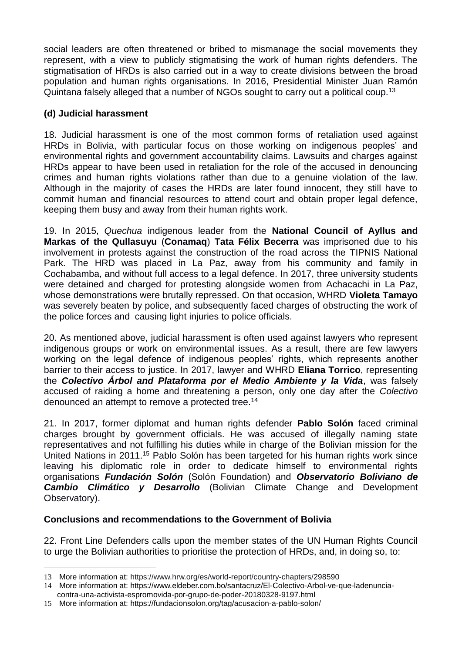social leaders are often threatened or bribed to mismanage the social movements they represent, with a view to publicly stigmatising the work of human rights defenders. The stigmatisation of HRDs is also carried out in a way to create divisions between the broad population and human rights organisations. In 2016, Presidential Minister Juan Ramón Quintana falsely alleged that a number of NGOs sought to carry out a political coup.<sup>13</sup>

# **(d) Judicial harassment**

18. Judicial harassment is one of the most common forms of retaliation used against HRDs in Bolivia, with particular focus on those working on indigenous peoples' and environmental rights and government accountability claims. Lawsuits and charges against HRDs appear to have been used in retaliation for the role of the accused in denouncing crimes and human rights violations rather than due to a genuine violation of the law. Although in the majority of cases the HRDs are later found innocent, they still have to commit human and financial resources to attend court and obtain proper legal defence, keeping them busy and away from their human rights work.

19. In 2015, *Quechua* indigenous leader from the **National Council of Ayllus and Markas of the Qullasuyu** (**[Conamaq](http://www.apcbolivia.org/org/conamaq.aspx)**) **Tata Félix Becerra** was imprisoned due to his involvement in protests against the construction of the road across the TIPNIS National Park. The HRD was placed in La Paz, away from his community and family in Cochabamba, and without full access to a legal defence. In 2017, three university students were detained and charged for protesting alongside women from Achacachi in La Paz, whose demonstrations were brutally repressed. On that occasion, WHRD **Violeta Tamayo** was severely beaten by police, and subsequently faced charges of obstructing the work of the police forces and causing light injuries to police officials.

20. As mentioned above, judicial harassment is often used against lawyers who represent indigenous groups or work on environmental issues. As a result, there are few lawyers working on the legal defence of indigenous peoples' rights, which represents another barrier to their access to justice. In 2017, lawyer and WHRD **Eliana Torrico**, representing the *Colectivo Árbol and Plataforma por el Medio Ambiente y la Vida*, was falsely accused of raiding a home and threatening a person, only one day after the *Colectivo* denounced an attempt to remove a protected tree.<sup>14</sup>

21. In 2017, former diplomat and human rights defender **Pablo Solón** faced criminal charges brought by government officials. He was accused of illegally naming state representatives and not fulfilling his duties while in charge of the Bolivian mission for the United Nations in 2011.<sup>15</sup> Pablo Solón has been targeted for his human rights work since leaving his diplomatic role in order to dedicate himself to environmental rights organisations *[Fundación Solón](https://es.wikipedia.org/w/index.php?title=Fundación_Solón&action=edit&redlink=1)* (Solón Foundation) and *Observatorio Boliviano de Cambio Climático y Desarrollo* (Bolivian Climate Change and Development Observatory).

### **Conclusions and recommendations to the Government of Bolivia**

22. Front Line Defenders calls upon the member states of the UN Human Rights Council to urge the Bolivian authorities to prioritise the protection of HRDs, and, in doing so, to:

1

<sup>13</sup> More information at:<https://www.hrw.org/es/world-report/country-chapters/298590>

<sup>14</sup> More information at: https://www.eldeber.com.bo/santacruz/El-Colectivo-Arbol-ve-que-ladenuncia-

contra-una-activista-espromovida-por-grupo-de-poder-20180328-9197.html

<sup>15</sup> More information at:<https://fundacionsolon.org/tag/acusacion-a-pablo-solon/>